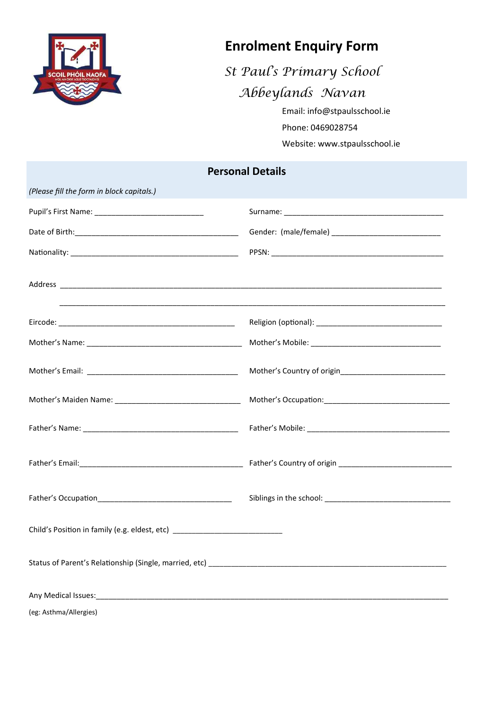

## **Enrolment Enquiry Form**

*St Paul's Primary School Abbeylands Navan* 

Email: info@stpaulsschool.ie

Phone: 0469028754

Website: www.stpaulsschool.ie

## **Personal Details**

| (Please fill the form in block capitals.)                                                                      |  |
|----------------------------------------------------------------------------------------------------------------|--|
|                                                                                                                |  |
|                                                                                                                |  |
|                                                                                                                |  |
|                                                                                                                |  |
|                                                                                                                |  |
|                                                                                                                |  |
|                                                                                                                |  |
|                                                                                                                |  |
|                                                                                                                |  |
|                                                                                                                |  |
|                                                                                                                |  |
| Child's Position in family (e.g. eldest, etc) __________________________________                               |  |
|                                                                                                                |  |
| Any Medical Issues: 1990 Management Communication and Communication and Communication and Communication and Co |  |
| (eg: Asthma/Allergies)                                                                                         |  |